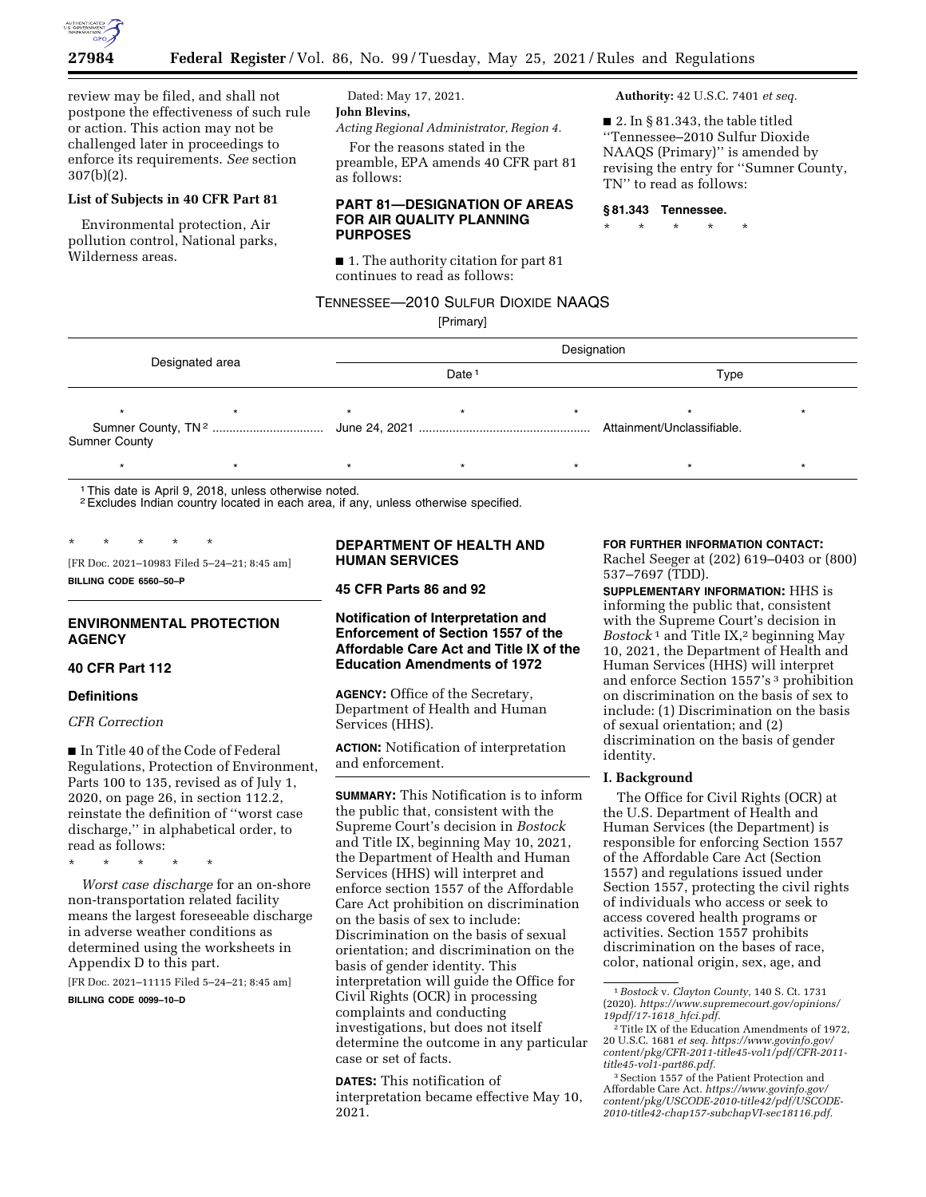

review may be filed, and shall not postpone the effectiveness of such rule or action. This action may not be challenged later in proceedings to enforce its requirements. *See* section 307(b)(2).

## **List of Subjects in 40 CFR Part 81**

Environmental protection, Air pollution control, National parks, Wilderness areas.

Dated: May 17, 2021. **John Blevins,** 

*Acting Regional Administrator, Region 4.* 

For the reasons stated in the preamble, EPA amends 40 CFR part 81 as follows:

### **PART 81—DESIGNATION OF AREAS FOR AIR QUALITY PLANNING PURPOSES**

■ 1. The authority citation for part 81 continues to read as follows:

## TENNESSEE—2010 SULFUR DIOXIDE NAAQS

[Primary]

**Authority:** 42 U.S.C. 7401 *et seq.* 

 $\blacksquare$  2. In § 81.343, the table titled ''Tennessee–2010 Sulfur Dioxide NAAQS (Primary)'' is amended by revising the entry for ''Sumner County, TN'' to read as follows:

### **§ 81.343 Tennessee.**

\* \* \* \* \*

Designated area Designation Date 1 Type \*\*\*\*\*\*\* Sumner County, TN 2 ................................. June 24, 2021 ................................................... Attainment/Unclassifiable. Sumner County \* \* \* \* \* \* \* \* \* \* \* \* \* \* \*

1This date is April 9, 2018, unless otherwise noted.

2Excludes Indian country located in each area, if any, unless otherwise specified.

\* \* \* \* \* [FR Doc. 2021–10983 Filed 5–24–21; 8:45 am]

**BILLING CODE 6560–50–P** 

## **ENVIRONMENTAL PROTECTION AGENCY**

### **40 CFR Part 112**

#### **Definitions**

### *CFR Correction*

■ In Title 40 of the Code of Federal Regulations, Protection of Environment, Parts 100 to 135, revised as of July 1, 2020, on page 26, in section 112.2, reinstate the definition of ''worst case discharge,'' in alphabetical order, to read as follows:

\* \* \* \* \*

*Worst case discharge* for an on-shore non-transportation related facility means the largest foreseeable discharge in adverse weather conditions as determined using the worksheets in Appendix D to this part.

[FR Doc. 2021–11115 Filed 5–24–21; 8:45 am] **BILLING CODE 0099–10–D** 

### **DEPARTMENT OF HEALTH AND HUMAN SERVICES**

**45 CFR Parts 86 and 92** 

## **Notification of Interpretation and Enforcement of Section 1557 of the Affordable Care Act and Title IX of the Education Amendments of 1972**

**AGENCY:** Office of the Secretary, Department of Health and Human Services (HHS).

**ACTION:** Notification of interpretation and enforcement.

**SUMMARY:** This Notification is to inform the public that, consistent with the Supreme Court's decision in *Bostock*  and Title IX, beginning May 10, 2021, the Department of Health and Human Services (HHS) will interpret and enforce section 1557 of the Affordable Care Act prohibition on discrimination on the basis of sex to include: Discrimination on the basis of sexual orientation; and discrimination on the basis of gender identity. This interpretation will guide the Office for Civil Rights (OCR) in processing complaints and conducting investigations, but does not itself determine the outcome in any particular case or set of facts.

**DATES:** This notification of interpretation became effective May 10, 2021.

**FOR FURTHER INFORMATION CONTACT:** 

Rachel Seeger at (202) 619–0403 or (800) 537–7697 (TDD).

**SUPPLEMENTARY INFORMATION:** HHS is informing the public that, consistent with the Supreme Court's decision in *Bostock* 1 and Title IX,2 beginning May 10, 2021, the Department of Health and Human Services (HHS) will interpret and enforce Section 1557's 3 prohibition on discrimination on the basis of sex to include: (1) Discrimination on the basis of sexual orientation; and (2) discrimination on the basis of gender identity.

### **I. Background**

The Office for Civil Rights (OCR) at the U.S. Department of Health and Human Services (the Department) is responsible for enforcing Section 1557 of the Affordable Care Act (Section 1557) and regulations issued under Section 1557, protecting the civil rights of individuals who access or seek to access covered health programs or activities. Section 1557 prohibits discrimination on the bases of race, color, national origin, sex, age, and

<sup>3</sup> Section 1557 of the Patient Protection and Affordable Care Act. *[https://www.govinfo.gov/](https://www.govinfo.gov/content/pkg/USCODE-2010-title42/pdf/USCODE-2010-title42-chap157-subchapVI-sec18116.pdf)  [content/pkg/USCODE-2010-title42/pdf/USCODE-](https://www.govinfo.gov/content/pkg/USCODE-2010-title42/pdf/USCODE-2010-title42-chap157-subchapVI-sec18116.pdf)[2010-title42-chap157-subchapVI-sec18116.pdf.](https://www.govinfo.gov/content/pkg/USCODE-2010-title42/pdf/USCODE-2010-title42-chap157-subchapVI-sec18116.pdf)* 

<sup>1</sup>*Bostock* v. *Clayton County,* 140 S. Ct. 1731 (2020). *[https://www.supremecourt.gov/opinions/](https://www.supremecourt.gov/opinions/19pdf/17-1618_hfci.pdf)  [19pdf/17-1618](https://www.supremecourt.gov/opinions/19pdf/17-1618_hfci.pdf)*\_*hfci.pdf.* 

<sup>2</sup>Title IX of the Education Amendments of 1972, 20 U.S.C. 1681 *et seq. [https://www.govinfo.gov/](https://www.govinfo.gov/content/pkg/CFR-2011-title45-vol1/pdf/CFR-2011-title45-vol1-part86.pdf)  [content/pkg/CFR-2011-title45-vol1/pdf/CFR-2011](https://www.govinfo.gov/content/pkg/CFR-2011-title45-vol1/pdf/CFR-2011-title45-vol1-part86.pdf) [title45-vol1-part86.pdf.](https://www.govinfo.gov/content/pkg/CFR-2011-title45-vol1/pdf/CFR-2011-title45-vol1-part86.pdf)*